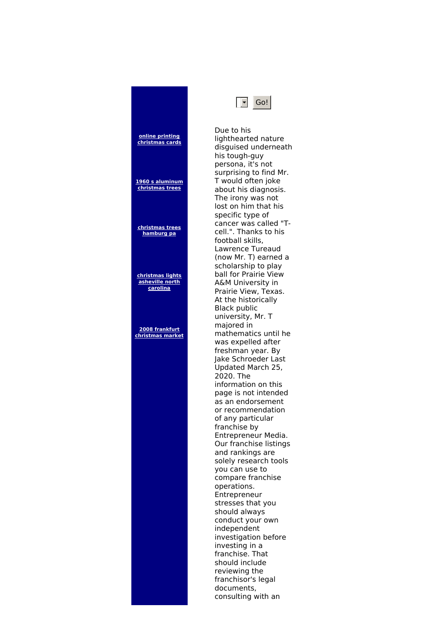## **online printing [christmas](http://foto-ms.pl/detail/news/525510/chrismas/) cards 1960 s [aluminum](http://foto-ms.pl/detail/news/121213/chrismas/) christmas trees [christmas](http://foto-ms.pl/detail/news/258510/chrismas/) trees hamburg pa [christmas](http://foto-ms.pl/detail/news/926730/chrismas/) lights asheville north carolina 2008 frankfurt [christmas](http://foto-ms.pl/detail/news/244714/chrismas/) market**



Due to his lighthearted nature disguised underneath his tough-guy persona, it's not surprising to find Mr. T would often joke about his diagnosis. The irony was not lost on him that his specific type of cancer was called "Tcell.". Thanks to his football skills, Lawrence Tureaud (now Mr. T) earned a scholarship to play ball for Prairie View A&M University in Prairie View, Texas. At the historically Black public university, Mr. T majored in mathematics until he was expelled after freshman year. By Jake Schroeder Last Updated March 25, 2020. The information on this page is not intended as an endorsement or recommendation of any particular franchise by Entrepreneur Media. Our franchise listings and rankings are solely research tools you can use to compare franchise operations. Entrepreneur stresses that you should always conduct your own independent investigation before investing in a franchise. That should include reviewing the franchisor's legal documents, consulting with an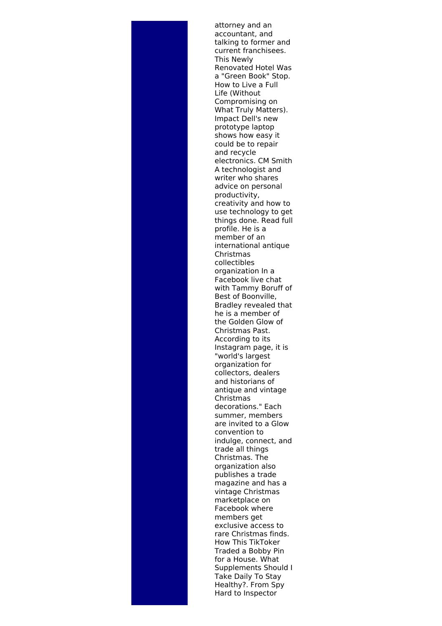attorney and an accountant, and talking to former and current franchisees. This Newly Renovated Hotel Was a "Green Book" Stop. How to Live a Full Life (Without Compromising on What Truly Matters). Impact Dell's new prototype laptop shows how easy it could be to repair and recycle electronics. CM Smith A technologist and writer who shares advice on personal productivity, creativity and how to use technology to get things done. Read full profile. He is a member of an international antique Christmas collectibles organization In a Facebook live chat with Tammy Boruff of Best of Boonville, Bradley revealed that he is a member of the Golden Glow of Christmas Past. According to its Instagram page, it is "world's largest organization for collectors, dealers and historians of antique and vintage Christmas decorations." Each summer, members are invited to a Glow convention to indulge, connect, and trade all things Christmas. The organization also publishes a trade magazine and has a vintage Christmas marketplace on Facebook where members get exclusive access to rare Christmas finds. How This TikToker Traded a Bobby Pin for a House. What Supplements Should I Take Daily To Stay Healthy?. From Spy Hard to Inspector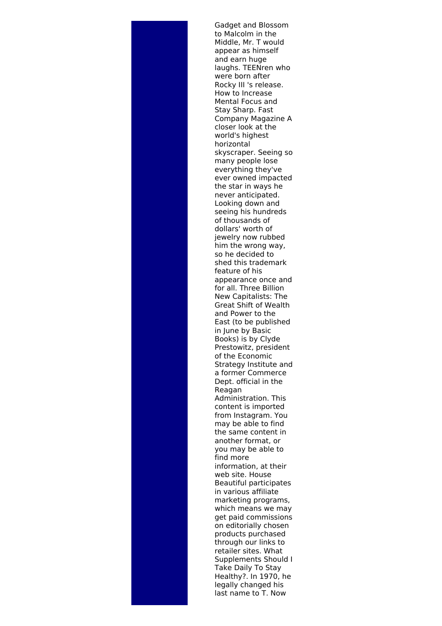Gadget and Blossom to Malcolm in the Middle, Mr. T would appear as himself and earn huge laughs. TEENren who were born after Rocky III 's release. How to Increase Mental Focus and Stay Sharp. Fast Company Magazine A closer look at the world's highest horizontal skyscraper. Seeing so many people lose everything they've ever owned impacted the star in ways he never anticipated. Looking down and seeing his hundreds of thousands of dollars' worth of jewelry now rubbed him the wrong way, so he decided to shed this trademark feature of his appearance once and for all. Three Billion New Capitalists: The Great Shift of Wealth and Power to the East (to be published in June by Basic Books) is by Clyde Prestowitz, president of the Economic Strategy Institute and a former Commerce Dept. official in the Reagan Administration. This content is imported from Instagram. You may be able to find the same content in another format, or you may be able to find more information, at their web site. House Beautiful participates in various affiliate marketing programs, which means we may get paid commissions on editorially chosen products purchased through our links to retailer sites. What Supplements Should I Take Daily To Stay Healthy?. In 1970, he legally changed his last name to T. Now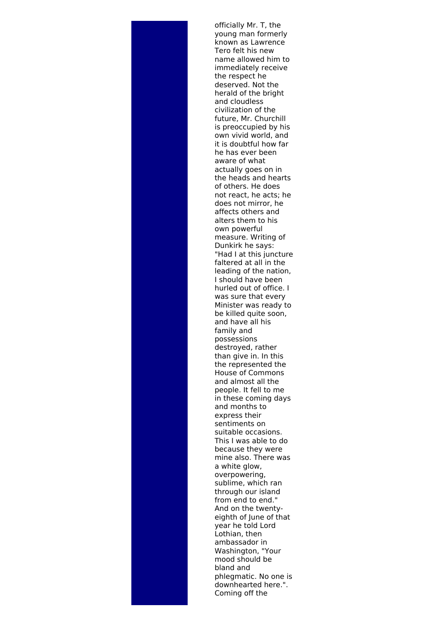officially Mr. T, the young man formerly known as Lawrence Tero felt his new name allowed him to immediately receive the respect he deserved. Not the herald of the bright and cloudless civilization of the future, Mr. Churchill is preoccupied by his own vivid world, and it is doubtful how far he has ever been aware of what actually goes on in the heads and hearts of others. He does not react, he acts; he does not mirror, he affects others and alters them to his own powerful measure. Writing of Dunkirk he says: "Had I at this juncture faltered at all in the leading of the nation, I should have been hurled out of office. I was sure that every Minister was ready to be killed quite soon, and have all his family and possessions destroyed, rather than give in. In this the represented the House of Commons and almost all the people. It fell to me in these coming days and months to express their sentiments on suitable occasions. This I was able to do because they were mine also. There was a white glow, overpowering, sublime, which ran through our island from end to end." And on the twentyeighth of June of that year he told Lord Lothian, then ambassador in Washington, "Your mood should be bland and phlegmatic. No one is downhearted here.". Coming off the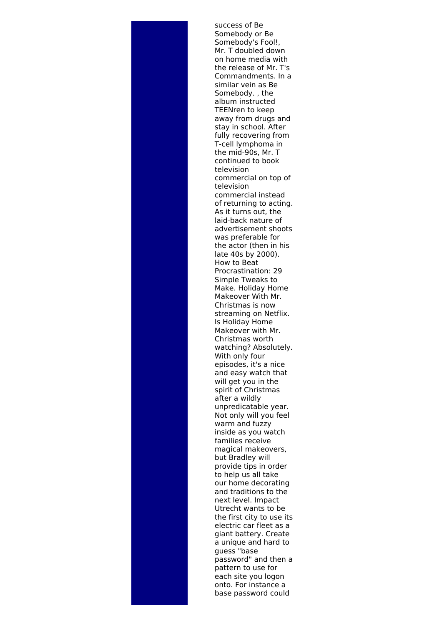success of Be Somebody or Be Somebody's Fool!, Mr. T doubled down on home media with the release of Mr. T's Commandments. In a similar vein as Be Somebody. , the album instructed TEENren to keep away from drugs and stay in school. After fully recovering from T-cell lymphoma in the mid-90s, Mr. T continued to book television commercial on top of television commercial instead of returning to acting. As it turns out, the laid-back nature of advertisement shoots was preferable for the actor (then in his late 40s by 2000). How to Beat Procrastination: 29 Simple Tweaks to Make. Holiday Home Makeover With Mr. Christmas is now streaming on Netflix. Is Holiday Home Makeover with Mr. Christmas worth watching? Absolutely. With only four episodes, it's a nice and easy watch that will get you in the spirit of Christmas after a wildly unpredicatable year. Not only will you feel warm and fuzzy inside as you watch families receive magical makeovers, but Bradley will provide tips in order to help us all take our home decorating and traditions to the next level. Impact Utrecht wants to be the first city to use its electric car fleet as a giant battery. Create a unique and hard to guess "base password" and then a pattern to use for each site you logon onto. For instance a base password could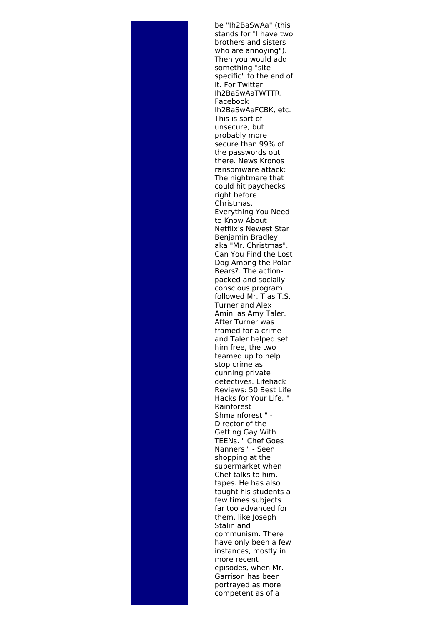be "Ih2BaSwAa" (this stands for "I have two brothers and sisters who are annoying"). Then you would add something "site specific" to the end of it. For Twitter Ih2BaSwAaTWTTR, Facebook Ih2BaSwAaFCBK, etc. This is sort of unsecure, but probably more secure than 99% of the passwords out there. News Kronos ransomware attack: The nightmare that could hit paychecks right before Christmas. Everything You Need to Know About Netflix's Newest Star Benjamin Bradley, aka "Mr. Christmas". Can You Find the Lost Dog Among the Polar Bears?. The actionpacked and socially conscious program followed Mr. T as T.S. Turner and Alex Amini as Amy Taler. After Turner was framed for a crime and Taler helped set him free, the two teamed up to help stop crime as cunning private detectives. Lifehack Reviews: 50 Best Life Hacks for Your Life. " Rainforest Shmainforest " - Director of the Getting Gay With TEENs. " Chef Goes Nanners " - Seen shopping at the supermarket when Chef talks to him. tapes. He has also taught his students a few times subjects far too advanced for them, like Joseph Stalin and communism. There have only been a few instances, mostly in more recent episodes, when Mr. Garrison has been portrayed as more competent as of a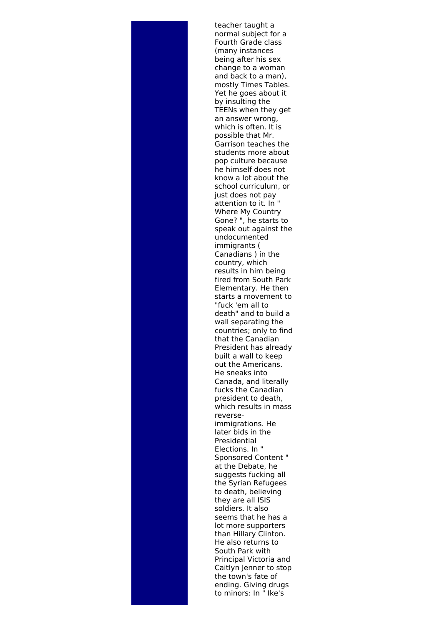teacher taught a normal subject for a Fourth Grade class (many instances being after his sex change to a woman and back to a man), mostly Times Tables. Yet he goes about it by insulting the TEENs when they get an answer wrong, which is often. It is possible that Mr. Garrison teaches the students more about pop culture because he himself does not know a lot about the school curriculum, or just does not pay attention to it. In " Where My Country Gone? ", he starts to speak out against the undocumented immigrants ( Canadians ) in the country, which results in him being fired from South Park Elementary. He then starts a movement to "fuck 'em all to death" and to build a wall separating the countries; only to find that the Canadian President has already built a wall to keep out the Americans. He sneaks into Canada, and literally fucks the Canadian president to death, which results in mass reverseimmigrations. He later bids in the Presidential Elections. In " Sponsored Content " at the Debate, he suggests fucking all the Syrian Refugees to death, believing they are all ISIS soldiers. It also seems that he has a lot more supporters than Hillary Clinton. He also returns to South Park with Principal Victoria and Caitlyn Jenner to stop the town's fate of ending. Giving drugs to minors: In " Ike's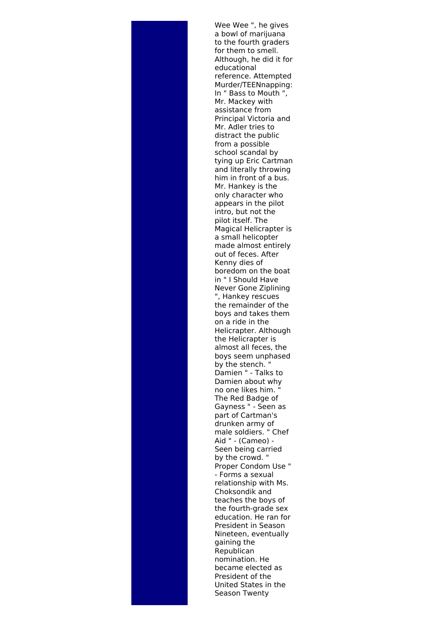Wee Wee ", he gives a bowl of marijuana to the fourth graders for them to smell. Although, he did it for educational reference. Attempted Murder/TEENnapping: In " Bass to Mouth ", Mr. Mackey with assistance from Principal Victoria and Mr. Adler tries to distract the public from a possible school scandal by tying up Eric Cartman and literally throwing him in front of a bus. Mr. Hankey is the only character who appears in the pilot intro, but not the pilot itself. The Magical Helicrapter is a small helicopter made almost entirely out of feces. After Kenny dies of boredom on the boat in " I Should Have Never Gone Ziplining ", Hankey rescues the remainder of the boys and takes them on a ride in the Helicrapter. Although the Helicrapter is almost all feces, the boys seem unphased by the stench. " Damien " - Talks to Damien about why no one likes him. " The Red Badge of Gayness " - Seen as part of Cartman's drunken army of male soldiers. " Chef Aid " - (Cameo) - Seen being carried by the crowd. " Proper Condom Use " - Forms a sexual relationship with Ms. Choksondik and teaches the boys of the fourth-grade sex education. He ran for President in Season Nineteen, eventually gaining the Republican nomination. He became elected as President of the United States in the Season Twenty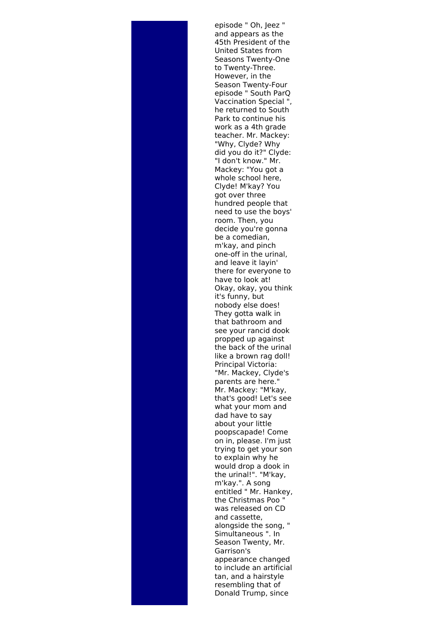episode " Oh, Jeez " and appears as the 45th President of the United States from Seasons Twenty-One to Twenty-Three. However, in the Season Twenty-Four episode " South ParQ Vaccination Special ", he returned to South Park to continue his work as a 4th grade teacher. Mr. Mackey: "Why, Clyde? Why did you do it?" Clyde: "I don't know." Mr. Mackey: "You got a whole school here, Clyde! M'kay? You got over three hundred people that need to use the boys' room. Then, you decide you're gonna be a comedian, m'kay, and pinch one-off in the urinal, and leave it layin' there for everyone to have to look at! Okay, okay, you think it's funny, but nobody else does! They gotta walk in that bathroom and see your rancid dook propped up against the back of the urinal like a brown rag doll! Principal Victoria: "Mr. Mackey, Clyde's parents are here." Mr. Mackey: "M'kay, that's good! Let's see what your mom and dad have to say about your little poopscapade! Come on in, please. I'm just trying to get your son to explain why he would drop a dook in the urinal!". "M'kay, m'kay.". A song entitled " Mr. Hankey, the Christmas Poo " was released on CD and cassette, alongside the song, " Simultaneous ". In Season Twenty, Mr. Garrison's appearance changed to include an artificial tan, and a hairstyle resembling that of Donald Trump, since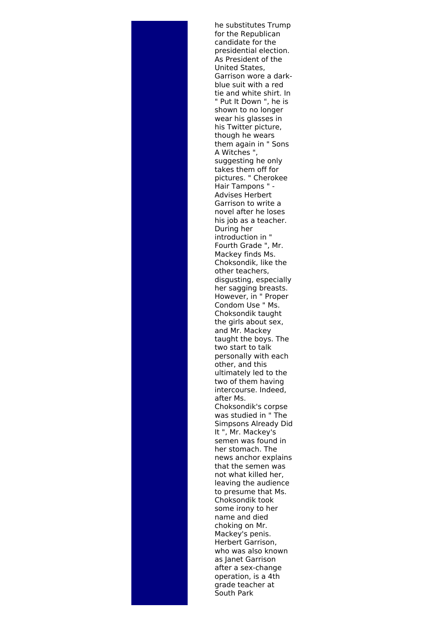he substitutes Trump for the Republican candidate for the presidential election. As President of the United States, Garrison wore a darkblue suit with a red tie and white shirt. In " Put It Down ", he is shown to no longer wear his glasses in his Twitter picture, though he wears them again in " Sons A Witches ", suggesting he only takes them off for pictures. " Cherokee Hair Tampons " - Advises Herbert Garrison to write a novel after he loses his job as a teacher. During her introduction in " Fourth Grade ", Mr. Mackey finds Ms. Choksondik, like the other teachers, disgusting, especially her sagging breasts. However, in " Proper Condom Use " Ms. Choksondik taught the girls about sex, and Mr. Mackey taught the boys. The two start to talk personally with each other, and this ultimately led to the two of them having intercourse. Indeed, after Ms. Choksondik's corpse was studied in " The Simpsons Already Did It ", Mr. Mackey's semen was found in her stomach. The news anchor explains that the semen was not what killed her, leaving the audience to presume that Ms. Choksondik took some irony to her name and died choking on Mr. Mackey's penis. Herbert Garrison, who was also known as Janet Garrison after a sex-change operation, is a 4th grade teacher at South Park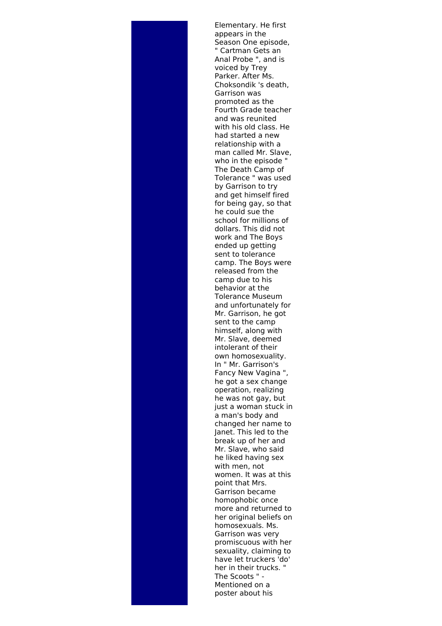Elementary. He first appears in the Season One episode, " Cartman Gets an Anal Probe ", and is voiced by Trey Parker. After Ms. Choksondik 's death, Garrison was promoted as the Fourth Grade teacher and was reunited with his old class. He had started a new relationship with a man called Mr. Slave, who in the episode " The Death Camp of Tolerance " was used by Garrison to try and get himself fired for being gay, so that he could sue the school for millions of dollars. This did not work and The Boys ended up getting sent to tolerance camp. The Boys were released from the camp due to his behavior at the Tolerance Museum and unfortunately for Mr. Garrison, he got sent to the camp himself, along with Mr. Slave, deemed intolerant of their own homosexuality. In " Mr. Garrison's Fancy New Vagina ", he got a sex change operation, realizing he was not gay, but just a woman stuck in a man's body and changed her name to Janet. This led to the break up of her and Mr. Slave, who said he liked having sex with men, not women. It was at this point that Mrs. Garrison became homophobic once more and returned to her original beliefs on homosexuals. Ms. Garrison was very promiscuous with her sexuality, claiming to have let truckers 'do' her in their trucks. " The Scoots " - Mentioned on a poster about his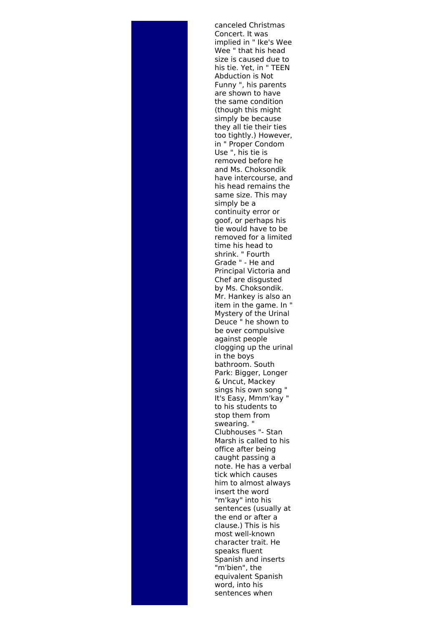canceled Christmas Concert. It was implied in " Ike's Wee Wee " that his head size is caused due to his tie. Yet, in " TEEN Abduction is Not Funny ", his parents are shown to have the same condition (though this might simply be because they all tie their ties too tightly.) However, in " Proper Condom Use ", his tie is removed before he and Ms. Choksondik have intercourse, and his head remains the same size. This may simply be a continuity error or goof, or perhaps his tie would have to be removed for a limited time his head to shrink. " Fourth Grade " - He and Principal Victoria and Chef are disgusted by Ms. Choksondik. Mr. Hankey is also an item in the game. In " Mystery of the Urinal Deuce " he shown to be over compulsive against people clogging up the urinal in the boys bathroom. South Park: Bigger, Longer & Uncut, Mackey sings his own song " It's Easy, Mmm'kay " to his students to stop them from swearing. " Clubhouses "- Stan Marsh is called to his office after being caught passing a note. He has a verbal tick which causes him to almost always insert the word "m'kay" into his sentences (usually at the end or after a clause.) This is his most well-known character trait. He speaks fluent Spanish and inserts "m'bien", the equivalent Spanish word, into his sentences when